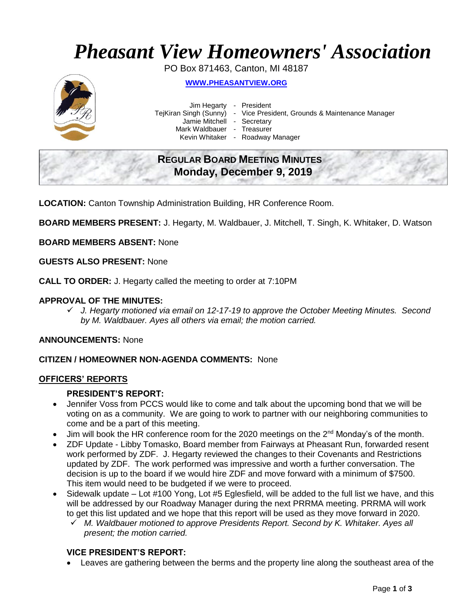# *Pheasant View Homeowners' Association*

PO Box 871463, Canton, MI 48187



**WWW.[PHEASANTVIEW](http://www.pheasantview.org/).ORG**

Jim Hegarty - President Jamie Mitchell - Secretary Mark Waldbauer - Treasurer

TejKiran Singh (Sunny) - Vice President, Grounds & Maintenance Manager

Kevin Whitaker - Roadway Manager

# **REGULAR BOARD MEETING MINUTES Monday, December 9, 2019**

**LOCATION:** Canton Township Administration Building, HR Conference Room.

**BOARD MEMBERS PRESENT:** J. Hegarty, M. Waldbauer, J. Mitchell, T. Singh, K. Whitaker, D. Watson

**BOARD MEMBERS ABSENT:** None

**GUESTS ALSO PRESENT:** None

**CALL TO ORDER:** J. Hegarty called the meeting to order at 7:10PM

# **APPROVAL OF THE MINUTES:**

✓ *J. Hegarty motioned via email on 12-17-19 to approve the October Meeting Minutes. Second by M. Waldbauer. Ayes all others via email; the motion carried.* 

#### **ANNOUNCEMENTS:** None

# **CITIZEN / HOMEOWNER NON-AGENDA COMMENTS:** None

#### **OFFICERS' REPORTS**

#### **PRESIDENT'S REPORT:**

- Jennifer Voss from PCCS would like to come and talk about the upcoming bond that we will be voting on as a community. We are going to work to partner with our neighboring communities to come and be a part of this meeting.
- Jim will book the HR conference room for the 2020 meetings on the  $2<sup>nd</sup>$  Monday's of the month.
- ZDF Update Libby Tomasko, Board member from Fairways at Pheasant Run, forwarded resent work performed by ZDF. J. Hegarty reviewed the changes to their Covenants and Restrictions updated by ZDF. The work performed was impressive and worth a further conversation. The decision is up to the board if we would hire ZDF and move forward with a minimum of \$7500. This item would need to be budgeted if we were to proceed.
- Sidewalk update Lot #100 Yong, Lot #5 Eglesfield, will be added to the full list we have, and this will be addressed by our Roadway Manager during the next PRRMA meeting. PRRMA will work to get this list updated and we hope that this report will be used as they move forward in 2020.
	- ✓ *M. Waldbauer motioned to approve Presidents Report. Second by K. Whitaker. Ayes all present; the motion carried.*

# **VICE PRESIDENT'S REPORT:**

• Leaves are gathering between the berms and the property line along the southeast area of the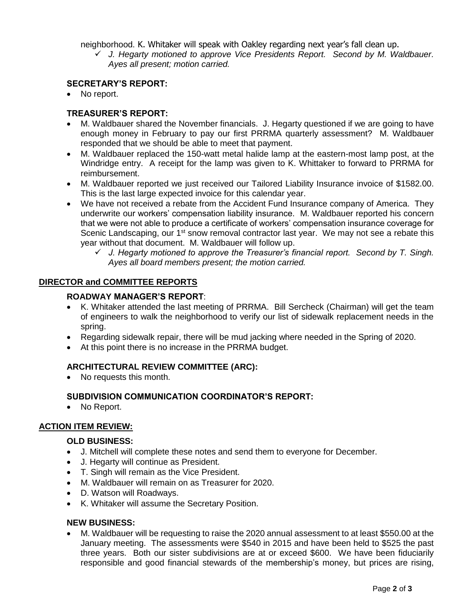neighborhood. K. Whitaker will speak with Oakley regarding next year's fall clean up.

✓ *J. Hegarty motioned to approve Vice Presidents Report. Second by M. Waldbauer. Ayes all present; motion carried.* 

#### **SECRETARY'S REPORT:**

• No report.

#### **TREASURER'S REPORT:**

- M. Waldbauer shared the November financials. J. Hegarty questioned if we are going to have enough money in February to pay our first PRRMA quarterly assessment? M. Waldbauer responded that we should be able to meet that payment.
- M. Waldbauer replaced the 150-watt metal halide lamp at the eastern-most lamp post, at the Windridge entry. A receipt for the lamp was given to K. Whittaker to forward to PRRMA for reimbursement.
- M. Waldbauer reported we just received our Tailored Liability Insurance invoice of \$1582.00. This is the last large expected invoice for this calendar year.
- We have not received a rebate from the Accident Fund Insurance company of America. They underwrite our workers' compensation liability insurance. M. Waldbauer reported his concern that we were not able to produce a certificate of workers' compensation insurance coverage for Scenic Landscaping, our 1<sup>st</sup> snow removal contractor last year. We may not see a rebate this year without that document. M. Waldbauer will follow up.
	- ✓ *J. Hegarty motioned to approve the Treasurer's financial report. Second by T. Singh. Ayes all board members present; the motion carried.*

#### **DIRECTOR and COMMITTEE REPORTS**

#### **ROADWAY MANAGER'S REPORT**:

- K. Whitaker attended the last meeting of PRRMA. Bill Sercheck (Chairman) will get the team of engineers to walk the neighborhood to verify our list of sidewalk replacement needs in the spring.
- Regarding sidewalk repair, there will be mud jacking where needed in the Spring of 2020.
- At this point there is no increase in the PRRMA budget.

# **ARCHITECTURAL REVIEW COMMITTEE (ARC):**

• No requests this month.

# **SUBDIVISION COMMUNICATION COORDINATOR'S REPORT:**

• No Report.

# **ACTION ITEM REVIEW:**

#### **OLD BUSINESS:**

- J. Mitchell will complete these notes and send them to everyone for December.
- J. Hegarty will continue as President.
- T. Singh will remain as the Vice President.
- M. Waldbauer will remain on as Treasurer for 2020.
- D. Watson will Roadways.
- K. Whitaker will assume the Secretary Position.

#### **NEW BUSINESS:**

• M. Waldbauer will be requesting to raise the 2020 annual assessment to at least \$550.00 at the January meeting. The assessments were \$540 in 2015 and have been held to \$525 the past three years. Both our sister subdivisions are at or exceed \$600. We have been fiduciarily responsible and good financial stewards of the membership's money, but prices are rising,